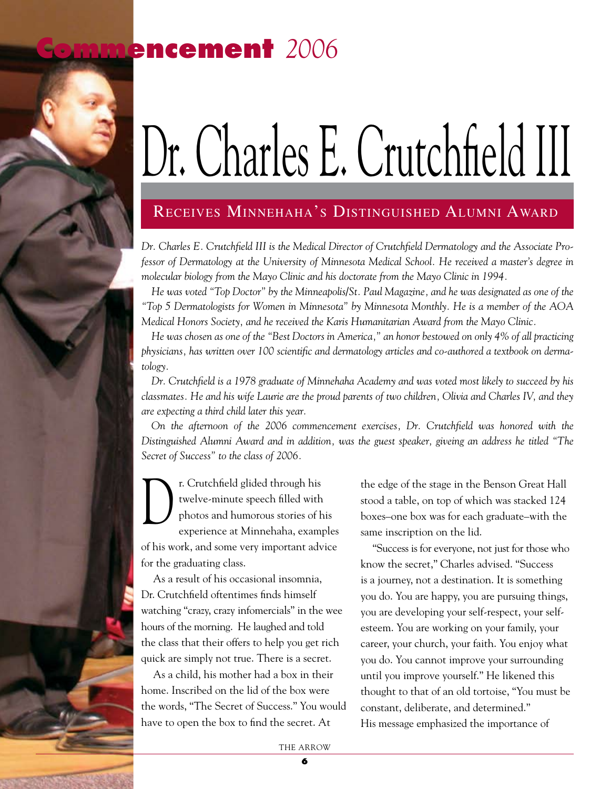## **Commencement** *2006*

## Dr. Charles E. Crutchfield III

## Receives Minnehaha's Distinguished Alumni Award

*Dr. Charles E. Crutchfield III is the Medical Director of Crutchfield Dermatology and the Associate Professor of Dermatology at the University of Minnesota Medical School. He received a master's degree in molecular biology from the Mayo Clinic and his doctorate from the Mayo Clinic in 1994.* 

*He was voted "Top Doctor" by the Minneapolis/St. Paul Magazine, and he was designated as one of the "Top 5 Dermatologists for Women in Minnesota" by Minnesota Monthly. He is a member of the AOA Medical Honors Society, and he received the Karis Humanitarian Award from the Mayo Clinic.* 

*He was chosen as one of the "Best Doctors in America," an honor bestowed on only 4% of all practicing physicians, has written over 100 scientific and dermatology articles and co-authored a textbook on dermatology.* 

 *Dr. Crutchfield is a 1978 graduate of Minnehaha Academy and was voted most likely to succeed by his classmates. He and his wife Laurie are the proud parents of two children, Olivia and Charles IV, and they are expecting a third child later this year.*

*On the afternoon of the 2006 commencement exercises, Dr. Crutchfield was honored with the Distinguished Alumni Award and in addition, was the guest speaker, giveing an address he titled "The Secret of Success" to the class of 2006.* 

r. Crutchfield glided through his twelve-minute speech filled with photos and humorous stories of his experience at Minnehaha, examples of his work, and some very important advice for the graduating class.  $\bigcup$ 

As a result of his occasional insomnia, Dr. Crutchfield oftentimes finds himself watching "crazy, crazy infomercials" in the wee hours of the morning. He laughed and told the class that their offers to help you get rich quick are simply not true. There is a secret.

As a child, his mother had a box in their home. Inscribed on the lid of the box were the words, "The Secret of Success." You would have to open the box to find the secret. At

the edge of the stage in the Benson Great Hall stood a table, on top of which was stacked 124 boxes–one box was for each graduate–with the same inscription on the lid.

"Success is for everyone, not just for those who know the secret," Charles advised. "Success is a journey, not a destination. It is something you do. You are happy, you are pursuing things, you are developing your self-respect, your selfesteem. You are working on your family, your career, your church, your faith. You enjoy what you do. You cannot improve your surrounding until you improve yourself." He likened this thought to that of an old tortoise, "You must be constant, deliberate, and determined." His message emphasized the importance of